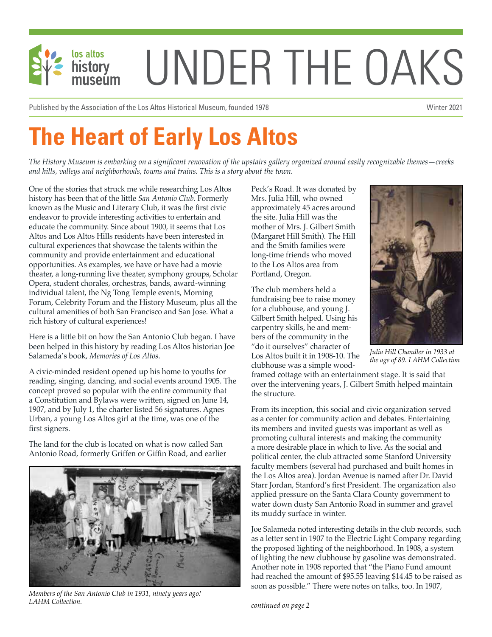

Published by the Association of the Los Altos Historical Museum, founded 1978 National Museum of the Vinter 2021

# **The Heart of Early Los Altos**

*The History Museum is embarking on a significant renovation of the upstairs gallery organized around easily recognizable themes—creeks and hills, valleys and neighborhoods, towns and trains. This is a story about the town.*

One of the stories that struck me while researching Los Altos history has been that of the little *San Antonio Club*. Formerly known as the Music and Literary Club, it was the first civic endeavor to provide interesting activities to entertain and educate the community. Since about 1900, it seems that Los Altos and Los Altos Hills residents have been interested in cultural experiences that showcase the talents within the community and provide entertainment and educational opportunities. As examples, we have or have had a movie theater, a long-running live theater, symphony groups, Scholar Opera, student chorales, orchestras, bands, award-winning individual talent, the Ng Tong Temple events, Morning Forum, Celebrity Forum and the History Museum, plus all the cultural amenities of both San Francisco and San Jose. What a rich history of cultural experiences!

Here is a little bit on how the San Antonio Club began. I have been helped in this history by reading Los Altos historian Joe Salameda's book, *Memories of Los Altos*.

A civic-minded resident opened up his home to youths for reading, singing, dancing, and social events around 1905. The concept proved so popular with the entire community that a Constitution and Bylaws were written, signed on June 14, 1907, and by July 1, the charter listed 56 signatures. Agnes Urban, a young Los Altos girl at the time, was one of the first signers.

The land for the club is located on what is now called San Antonio Road, formerly Griffen or Giffin Road, and earlier



*Members of the San Antonio Club in 1931, ninety years ago! LAHM Collection.*

Peck's Road. It was donated by Mrs. Julia Hill, who owned approximately 45 acres around the site. Julia Hill was the mother of Mrs. J. Gilbert Smith (Margaret Hill Smith). The Hill and the Smith families were long-time friends who moved to the Los Altos area from Portland, Oregon.

The club members held a fundraising bee to raise money for a clubhouse, and young J. Gilbert Smith helped. Using his carpentry skills, he and members of the community in the "do it ourselves" character of Los Altos built it in 1908-10. The clubhouse was a simple wood-



*Julia Hill Chandler in 1933 at the age of 89. LAHM Collection*

framed cottage with an entertainment stage. It is said that over the intervening years, J. Gilbert Smith helped maintain the structure.

From its inception, this social and civic organization served as a center for community action and debates. Entertaining its members and invited guests was important as well as promoting cultural interests and making the community a more desirable place in which to live. As the social and political center, the club attracted some Stanford University faculty members (several had purchased and built homes in the Los Altos area). Jordan Avenue is named after Dr. David Starr Jordan, Stanford's first President. The organization also applied pressure on the Santa Clara County government to water down dusty San Antonio Road in summer and gravel its muddy surface in winter.

Joe Salameda noted interesting details in the club records, such as a letter sent in 1907 to the Electric Light Company regarding the proposed lighting of the neighborhood. In 1908, a system of lighting the new clubhouse by gasoline was demonstrated. Another note in 1908 reported that "the Piano Fund amount had reached the amount of \$95.55 leaving \$14.45 to be raised as soon as possible." There were notes on talks, too. In 1907,

*continued on page 2*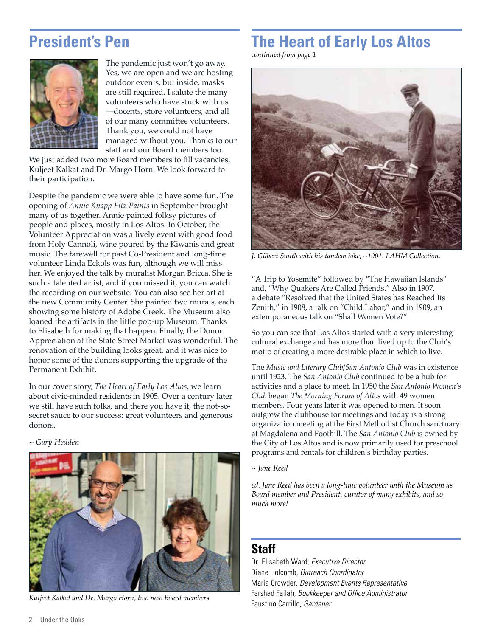#### **President's Pen**



The pandemic just won't go away. Yes, we are open and we are hosting outdoor events, but inside, masks are still required. I salute the many volunteers who have stuck with us —docents, store volunteers, and all of our many committee volunteers. Thank you, we could not have managed without you. Thanks to our staff and our Board members too.

We just added two more Board members to fill vacancies. Kuljeet Kalkat and Dr. Margo Horn. We look forward to their participation.

Despite the pandemic we were able to have some fun. The opening of *Annie Knapp Fitz Paints* in September brought many of us together. Annie painted folksy pictures of people and places, mostly in Los Altos. In October, the Volunteer Appreciation was a lively event with good food from Holy Cannoli, wine poured by the Kiwanis and great music. The farewell for past Co-President and long-time volunteer Linda Eckols was fun, although we will miss her. We enjoyed the talk by muralist Morgan Bricca. She is such a talented artist, and if you missed it, you can watch the recording on our website. You can also see her art at the new Community Center. She painted two murals, each showing some history of Adobe Creek. The Museum also loaned the artifacts in the little pop-up Museum. Thanks to Elisabeth for making that happen. Finally, the Donor Appreciation at the State Street Market was wonderful. The renovation of the building looks great, and it was nice to honor some of the donors supporting the upgrade of the Permanent Exhibit.

In our cover story, *The Heart of Early Los Altos*, we learn about civic-minded residents in 1905. Over a century later we still have such folks, and there you have it, the not-sosecret sauce to our success: great volunteers and generous donors.

*~ Gary Hedden*



*Kuljeet Kalkat and Dr. Margo Horn, two new Board members.*

## **The Heart of Early Los Altos**

*continued from page 1*



*J. Gilbert Smith with his tandem bike, ~1901. LAHM Collection.*

"A Trip to Yosemite" followed by "The Hawaiian Islands" and, "Why Quakers Are Called Friends." Also in 1907, a debate "Resolved that the United States has Reached Its Zenith," in 1908, a talk on "Child Labor," and in 1909, an extemporaneous talk on "Shall Women Vote?"

So you can see that Los Altos started with a very interesting cultural exchange and has more than lived up to the Club's motto of creating a more desirable place in which to live.

The *Music and Literary Club/San Antonio Club* was in existence until 1923. The *San Antonio Club* continued to be a hub for activities and a place to meet. In 1950 the *San Antonio Women's Club* began *The Morning Forum of Altos* with 49 women members. Four years later it was opened to men. It soon outgrew the clubhouse for meetings and today is a strong organization meeting at the First Methodist Church sanctuary at Magdalena and Foothill. The *San Antonio Club* is owned by the City of Los Altos and is now primarily used for preschool programs and rentals for children's birthday parties.

#### *~ Jane Reed*

*ed. Jane Reed has been a long-time volunteer with the Museum as Board member and President, curator of many exhibits, and so much more!*

#### **Staff**

Dr. Elisabeth Ward, *Executive Director* Diane Holcomb, *Outreach Coordinator* Maria Crowder, *Development Events Representative* Farshad Fallah, *Bookkeeper and Office Administrator* Faustino Carrillo, *Gardener*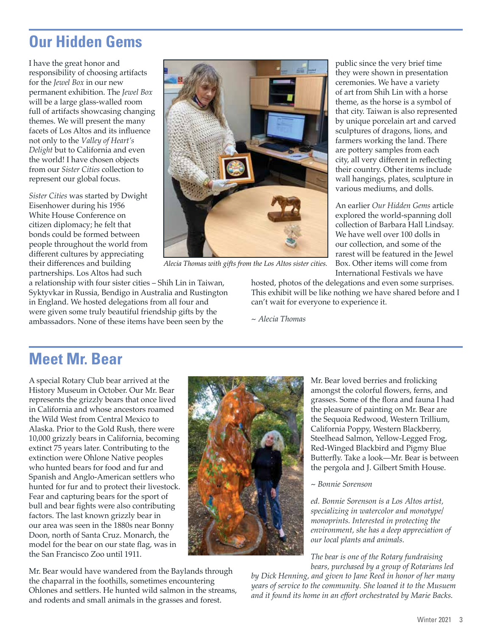### **Our Hidden Gems**

I have the great honor and responsibility of choosing artifacts for the *Jewel Box* in our new permanent exhibition. The *Jewel Box* will be a large glass-walled room full of artifacts showcasing changing themes. We will present the many facets of Los Altos and its influence not only to the *Valley of Heart's Delight* but to California and even the world! I have chosen objects from our *Sister Cities* collection to represent our global focus.

*Sister Cities* was started by Dwight Eisenhower during his 1956 White House Conference on citizen diplomacy; he felt that bonds could be formed between people throughout the world from different cultures by appreciating their differences and building partnerships. Los Altos had such

a relationship with four sister cities – Shih Lin in Taiwan, Syktyvkar in Russia, Bendigo in Australia and Rustington in England. We hosted delegations from all four and were given some truly beautiful friendship gifts by the ambassadors. None of these items have been seen by the



*Alecia Thomas with gifts from the Los Altos sister cities.*

public since the very brief time they were shown in presentation ceremonies. We have a variety of art from Shih Lin with a horse theme, as the horse is a symbol of that city. Taiwan is also represented by unique porcelain art and carved sculptures of dragons, lions, and farmers working the land. There are pottery samples from each city, all very different in reflecting their country. Other items include wall hangings, plates, sculpture in various mediums, and dolls.

An earlier *Our Hidden Gems* article explored the world-spanning doll collection of Barbara Hall Lindsay. We have well over 100 dolls in our collection, and some of the rarest will be featured in the Jewel Box. Other items will come from International Festivals we have

hosted, photos of the delegations and even some surprises. This exhibit will be like nothing we have shared before and I can't wait for everyone to experience it.

*~ Alecia Thomas*

#### **Meet Mr. Bear**

A special Rotary Club bear arrived at the History Museum in October. Our Mr. Bear represents the grizzly bears that once lived in California and whose ancestors roamed the Wild West from Central Mexico to Alaska. Prior to the Gold Rush, there were 10,000 grizzly bears in California, becoming extinct 75 years later. Contributing to the extinction were Ohlone Native peoples who hunted bears for food and fur and Spanish and Anglo-American settlers who hunted for fur and to protect their livestock. Fear and capturing bears for the sport of bull and bear fights were also contributing factors. The last known grizzly bear in our area was seen in the 1880s near Bonny Doon, north of Santa Cruz. Monarch, the model for the bear on our state flag, was in the San Francisco Zoo until 1911.

Mr. Bear would have wandered from the Baylands through the chaparral in the foothills, sometimes encountering Ohlones and settlers. He hunted wild salmon in the streams, and rodents and small animals in the grasses and forest.



Mr. Bear loved berries and frolicking amongst the colorful flowers, ferns, and grasses. Some of the flora and fauna I had the pleasure of painting on Mr. Bear are the Sequoia Redwood, Western Trillium, California Poppy, Western Blackberry, Steelhead Salmon, Yellow-Legged Frog, Red-Winged Blackbird and Pigmy Blue Butterfly. Take a look—Mr. Bear is between the pergola and J. Gilbert Smith House.

#### *~ Bonnie Sorenson*

*ed. Bonnie Sorenson is a Los Altos artist, specializing in watercolor and monotype/ monoprints. Interested in protecting the environment, she has a deep appreciation of our local plants and animals.*

*The bear is one of the Rotary fundraising bears, purchased by a group of Rotarians led* 

*by Dick Henning, and given to Jane Reed in honor of her many years of service to the community. She loaned it to the Musuem and it found its home in an effort orchestrated by Marie Backs.*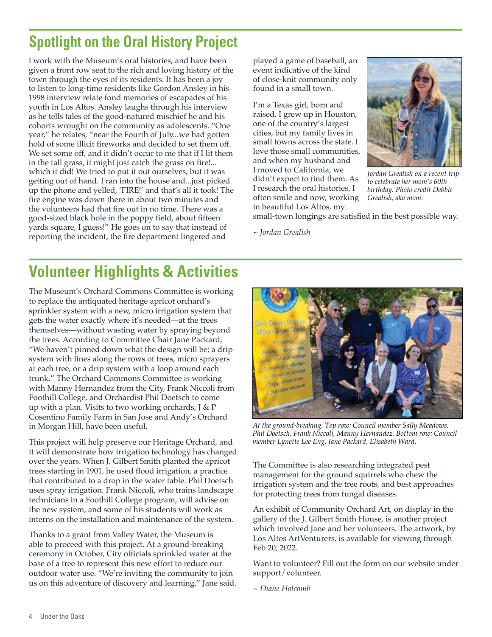### **Spotlight on the Oral History Project**

I work with the Museum's oral histories, and have been given a front row seat to the rich and loving history of the town through the eyes of its residents. It has been a joy to listen to long-time residents like Gordon Ansley in his 1998 interview relate fond memories of escapades of his youth in Los Altos. Ansley laughs through his interview as he tells tales of the good-natured mischief he and his cohorts wrought on the community as adolescents. "One year," he relates, "near the Fourth of July...we had gotten hold of some illicit fireworks and decided to set them off. We set some off, and it didn't occur to me that if I lit them in the tall grass, it might just catch the grass on fire!... which it did! We tried to put it out ourselves, but it was getting out of hand. I ran into the house and...just picked up the phone and yelled, 'FIRE!' and that's all it took! The fire engine was down there in about two minutes and the volunteers had that fire out in no time. There was a good-sized black hole in the poppy field, about fifteen yards square, I guess!" He goes on to say that instead of reporting the incident, the fire department lingered and

played a game of baseball, an event indicative of the kind of close-knit community only found in a small town.

I'm a Texas girl, born and raised. I grew up in Houston, one of the country's largest cities, but my family lives in small towns across the state. I love those small communities, and when my husband and I moved to California, we didn't expect to find them. As I research the oral histories, I often smile and now, working in beautiful Los Altos, my



*Jordan Grealish on a recent trip to celebrate her mom's 60th birthday. Photo credit Debbie Grealish, aka mom.*

small-town longings are satisfied in the best possible way.

*~ Jordan Grealish*

### **Volunteer Highlights & Activities**

The Museum's Orchard Commons Committee is working to replace the antiquated heritage apricot orchard's sprinkler system with a new, micro irrigation system that gets the water exactly where it's needed—at the trees themselves—without wasting water by spraying beyond the trees. According to Committee Chair Jane Packard, "We haven't pinned down what the design will be; a drip system with lines along the rows of trees, micro sprayers at each tree, or a drip system with a loop around each trunk." The Orchard Commons Committee is working with Manny Hernandez from the City, Frank Niccoli from Foothill College, and Orchardist Phil Doetsch to come up with a plan. Visits to two working orchards, J & P Cosentino Family Farm in San Jose and Andy's Orchard in Morgan Hill, have been useful.

This project will help preserve our Heritage Orchard, and it will demonstrate how irrigation technology has changed over the years. When J. Gilbert Smith planted the apricot trees starting in 1901, he used flood irrigation, a practice that contributed to a drop in the water table. Phil Doetsch uses spray irrigation. Frank Niccoli, who trains landscape technicians in a Foothill College program, will advise on the new system, and some of his students will work as interns on the installation and maintenance of the system.

Thanks to a grant from Valley Water, the Museum is able to proceed with this project. At a ground-breaking ceremony in October, City officials sprinkled water at the base of a tree to represent this new effort to reduce our outdoor water use. "We're inviting the community to join us on this adventure of discovery and learning," Jane said.



*At the ground-breaking. Top row: Council member Sally Meadows, Phil Doetsch, Frank Niccoli, Manny Hernandez. Bottom row: Council member Lynette Lee Eng, Jane Packard, Elisabeth Ward.*

The Committee is also researching integrated pest management for the ground squirrels who chew the irrigation system and the tree roots, and best approaches for protecting trees from fungal diseases.

An exhibit of Community Orchard Art, on display in the gallery of the J. Gilbert Smith House, is another project which involved Jane and her volunteers. The artwork, by Los Altos ArtVenturers, is available for viewing through Feb 20, 2022.

Want to volunteer? Fill out the form on our website under support/volunteer.

*~ Diane Holcomb*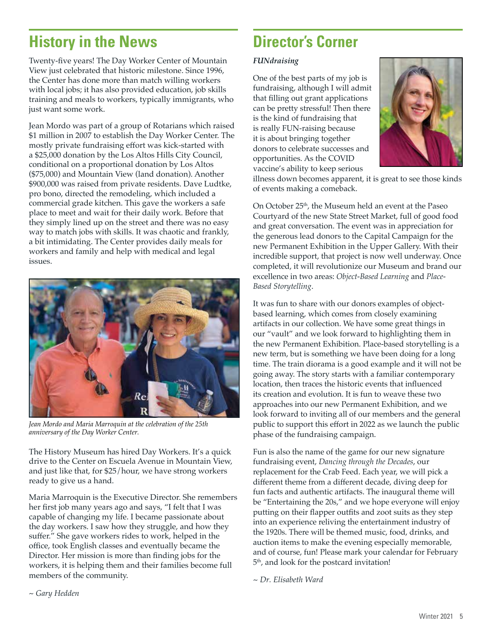### **History in the News**

Twenty-five years! The Day Worker Center of Mountain View just celebrated that historic milestone. Since 1996, the Center has done more than match willing workers with local jobs; it has also provided education, job skills training and meals to workers, typically immigrants, who just want some work.

Jean Mordo was part of a group of Rotarians which raised \$1 million in 2007 to establish the Day Worker Center. The mostly private fundraising effort was kick-started with a \$25,000 donation by the Los Altos Hills City Council, conditional on a proportional donation by Los Altos (\$75,000) and Mountain View (land donation). Another \$900,000 was raised from private residents. Dave Ludtke, pro bono, directed the remodeling, which included a commercial grade kitchen. This gave the workers a safe place to meet and wait for their daily work. Before that they simply lined up on the street and there was no easy way to match jobs with skills. It was chaotic and frankly, a bit intimidating. The Center provides daily meals for workers and family and help with medical and legal issues.



*Jean Mordo and Maria Marroquin at the celebration of the 25th anniversary of the Day Worker Center.*

The History Museum has hired Day Workers. It's a quick drive to the Center on Escuela Avenue in Mountain View, and just like that, for \$25/hour, we have strong workers ready to give us a hand.

Maria Marroquin is the Executive Director. She remembers her first job many years ago and says, "I felt that I was capable of changing my life. I became passionate about the day workers. I saw how they struggle, and how they suffer." She gave workers rides to work, helped in the office, took English classes and eventually became the Director. Her mission is more than finding jobs for the workers, it is helping them and their families become full members of the community.

### **Director's Corner**

#### *FUNdraising*

One of the best parts of my job is fundraising, although I will admit that filling out grant applications can be pretty stressful! Then there is the kind of fundraising that is really FUN-raising because it is about bringing together donors to celebrate successes and opportunities. As the COVID vaccine's ability to keep serious



illness down becomes apparent, it is great to see those kinds of events making a comeback.

On October 25<sup>th</sup>, the Museum held an event at the Paseo Courtyard of the new State Street Market, full of good food and great conversation. The event was in appreciation for the generous lead donors to the Capital Campaign for the new Permanent Exhibition in the Upper Gallery. With their incredible support, that project is now well underway. Once completed, it will revolutionize our Museum and brand our excellence in two areas: *Object-Based Learning* and *Place-Based Storytelling*.

It was fun to share with our donors examples of objectbased learning, which comes from closely examining artifacts in our collection. We have some great things in our "vault" and we look forward to highlighting them in the new Permanent Exhibition. Place-based storytelling is a new term, but is something we have been doing for a long time. The train diorama is a good example and it will not be going away. The story starts with a familiar contemporary location, then traces the historic events that influenced its creation and evolution. It is fun to weave these two approaches into our new Permanent Exhibition, and we look forward to inviting all of our members and the general public to support this effort in 2022 as we launch the public phase of the fundraising campaign.

Fun is also the name of the game for our new signature fundraising event, *Dancing through the Decades*, our replacement for the Crab Feed. Each year, we will pick a different theme from a different decade, diving deep for fun facts and authentic artifacts. The inaugural theme will be "Entertaining the 20s," and we hope everyone will enjoy putting on their flapper outfits and zoot suits as they step into an experience reliving the entertainment industry of the 1920s. There will be themed music, food, drinks, and auction items to make the evening especially memorable, and of course, fun! Please mark your calendar for February 5th, and look for the postcard invitation!

*~ Dr. Elisabeth Ward*

*~ Gary Hedden*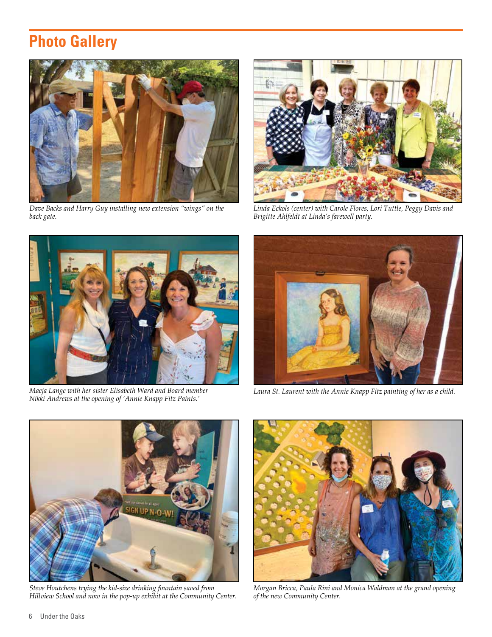### **Photo Gallery**



*Dave Backs and Harry Guy installing new extension "wings" on the back gate.*



*Linda Eckols (center) with Carole Flores, Lori Tuttle, Peggy Davis and Brigitte Ahlfeldt at Linda's farewell party.*



*Maeja Lange with her sister Elisabeth Ward and Board member Nikki Andrews at the opening of 'Annie Knapp Fitz Paints.'*



*Laura St. Laurent with the Annie Knapp Fitz painting of her as a child.*



*Steve Houtchens trying the kid-size drinking fountain saved from Hillview School and now in the pop-up exhibit at the Community Center.*



*Morgan Bricca, Paula Rini and Monica Waldman at the grand opening of the new Community Center.*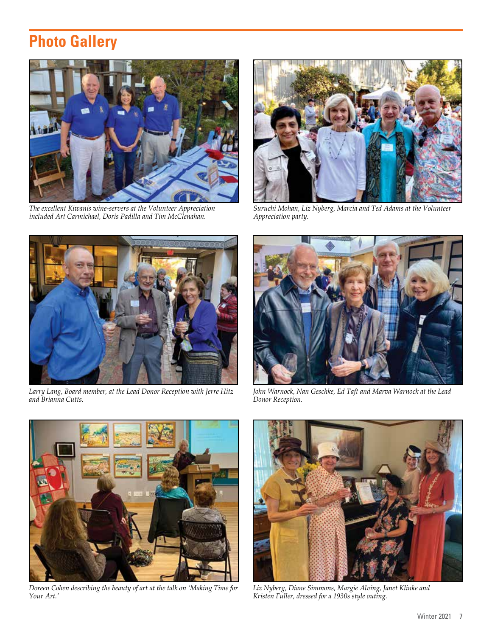### **Photo Gallery**



*The excellent Kiwanis wine-servers at the Volunteer Appreciation included Art Carmichael, Doris Padilla and Tim McClenahan.*



*Suruchi Mohan, Liz Nyberg, Marcia and Ted Adams at the Volunteer Appreciation party.*



*Larry Lang, Board member, at the Lead Donor Reception with Jerre Hitz and Brianna Cutts.* 



*John Warnock, Nan Geschke, Ed Taft and Marva Warnock at the Lead Donor Reception.*



*Doreen Cohen describing the beauty of art at the talk on 'Making Time for Your Art.'*



*Liz Nyberg, Diane Simmons, Margie Alving, Janet Klinke and Kristen Fuller, dressed for a 1930s style outing.*